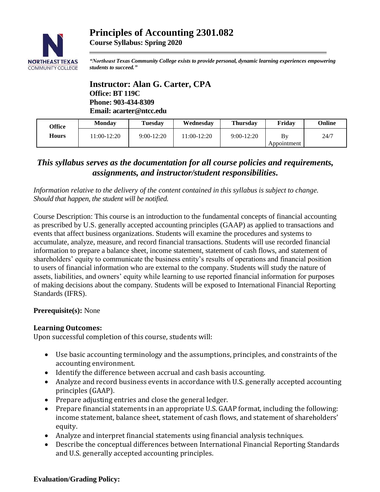## **Principles of Accounting 2301.082 Course Syllabus: Spring 2020**



*"Northeast Texas Community College exists to provide personal, dynamic learning experiences empowering students to succeed."*

**Instructor: Alan G. Carter, CPA Office: BT 119C Phone: 903-434-8309 Email: acarter@ntcc.edu**

| Office       | <b>Monday</b> | Tuesdav      | Wednesdav    | <b>Thursdav</b> | Fridav            | Online |
|--------------|---------------|--------------|--------------|-----------------|-------------------|--------|
| <b>Hours</b> | $1:00-12:20$  | $9:00-12:20$ | $1:00-12:20$ | $9:00-12:20$    | Bv<br>Appointment | 24/7   |

# *This syllabus serves as the documentation for all course policies and requirements, assignments, and instructor/student responsibilities.*

*Information relative to the delivery of the content contained in this syllabus is subject to change. Should that happen, the student will be notified.*

Course Description: This course is an introduction to the fundamental concepts of financial accounting as prescribed by U.S. generally accepted accounting principles (GAAP) as applied to transactions and events that affect business organizations. Students will examine the procedures and systems to accumulate, analyze, measure, and record financial transactions. Students will use recorded financial information to prepare a balance sheet, income statement, statement of cash flows, and statement of shareholders' equity to communicate the business entity's results of operations and financial position to users of financial information who are external to the company. Students will study the nature of assets, liabilities, and owners' equity while learning to use reported financial information for purposes of making decisions about the company. Students will be exposed to International Financial Reporting Standards (IFRS).

## **Prerequisite(s):** None

## **Learning Outcomes:**

Upon successful completion of this course, students will:

- Use basic accounting terminology and the assumptions, principles, and constraints of the accounting environment.
- Identify the difference between accrual and cash basis accounting.
- Analyze and record business events in accordance with U.S. generally accepted accounting principles (GAAP).
- Prepare adjusting entries and close the general ledger.
- Prepare financial statements in an appropriate U.S. GAAP format, including the following: income statement, balance sheet, statement of cash flows, and statement of shareholders' equity.
- Analyze and interpret financial statements using financial analysis techniques.
- Describe the conceptual differences between International Financial Reporting Standards and U.S. generally accepted accounting principles.

#### **Evaluation/Grading Policy:**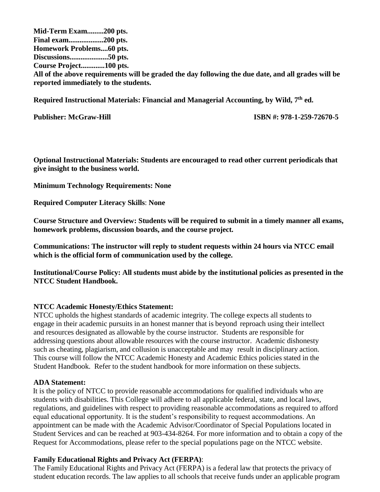**Mid-Term Exam.........200 pts. Final exam...................200 pts. Homework Problems....60 pts. Discussions.....................50 pts. Course Project.............100 pts. All of the above requirements will be graded the day following the due date, and all grades will be reported immediately to the students.** 

**Required Instructional Materials: Financial and Managerial Accounting, by Wild, 7th ed.**

**Publisher: McGraw-Hill ISBN #: 978-1-259-72670-5**

**Optional Instructional Materials: Students are encouraged to read other current periodicals that give insight to the business world.**

**Minimum Technology Requirements: None**

**Required Computer Literacy Skills**: **None**

**Course Structure and Overview: Students will be required to submit in a timely manner all exams, homework problems, discussion boards, and the course project.**

**Communications: The instructor will reply to student requests within 24 hours via NTCC email which is the official form of communication used by the college.** 

**Institutional/Course Policy: All students must abide by the institutional policies as presented in the NTCC Student Handbook.**

## **NTCC Academic Honesty/Ethics Statement:**

NTCC upholds the highest standards of academic integrity. The college expects all students to engage in their academic pursuits in an honest manner that is beyond reproach using their intellect and resources designated as allowable by the course instructor. Students are responsible for addressing questions about allowable resources with the course instructor. Academic dishonesty such as cheating, plagiarism, and collusion is unacceptable and may result in disciplinary action. This course will follow the NTCC Academic Honesty and Academic Ethics policies stated in the Student Handbook. Refer to the student handbook for more information on these subjects.

#### **ADA Statement:**

It is the policy of NTCC to provide reasonable accommodations for qualified individuals who are students with disabilities. This College will adhere to all applicable federal, state, and local laws, regulations, and guidelines with respect to providing reasonable accommodations as required to afford equal educational opportunity. It is the student's responsibility to request accommodations. An appointment can be made with the Academic Advisor/Coordinator of Special Populations located in Student Services and can be reached at 903-434-8264. For more information and to obtain a copy of the Request for Accommodations, please refer to the special populations page on the NTCC websit[e.](http://www.ntcc.edu/index.php?module=Pagesetter&func=viewpub&tid=111&pid=1) 

## **Family Educational Rights and Privacy Act (FERPA)**:

The Family Educational Rights and Privacy Act (FERPA) is a federal law that protects the privacy of student education records. The law applies to all schools that receive funds under an applicable program